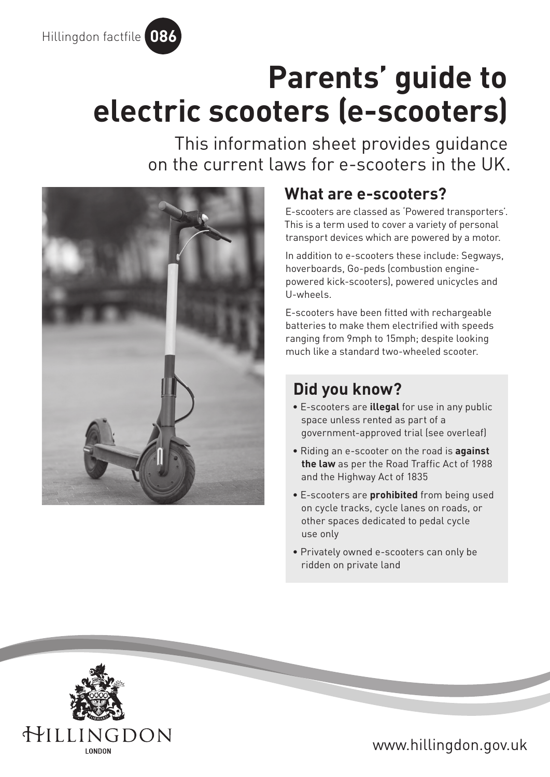

# **Parents' guide to electric scooters (e-scooters)**

This information sheet provides guidance on the current laws for e-scooters in the UK.



# **What are e-scooters?**

E-scooters are classed as 'Powered transporters'. This is a term used to cover a variety of personal transport devices which are powered by a motor.

In addition to e-scooters these include: Segways, hoverboards, Go-peds (combustion enginepowered kick-scooters), powered unicycles and U-wheels.

E-scooters have been fitted with rechargeable batteries to make them electrified with speeds ranging from 9mph to 15mph; despite looking much like a standard two-wheeled scooter.

# **Did you know?**

- E-scooters are **illegal** for use in any public space unless rented as part of a government-approved trial (see overleaf)
- Riding an e-scooter on the road is **against the law** as per the [Road Traffic Act of 1988](https://www.legislation.gov.uk/ukpga/1988/52/contents) and the [Highway Act of 1835](https://www.legislation.gov.uk/ukpga/Will4/5-6/50/contents)
- E-scooters are **prohibited** from being used on cycle tracks, cycle lanes on roads, or other spaces dedicated to pedal cycle use only
- Privately owned e-scooters can only be ridden on private land



www.hillingdon.gov.uk